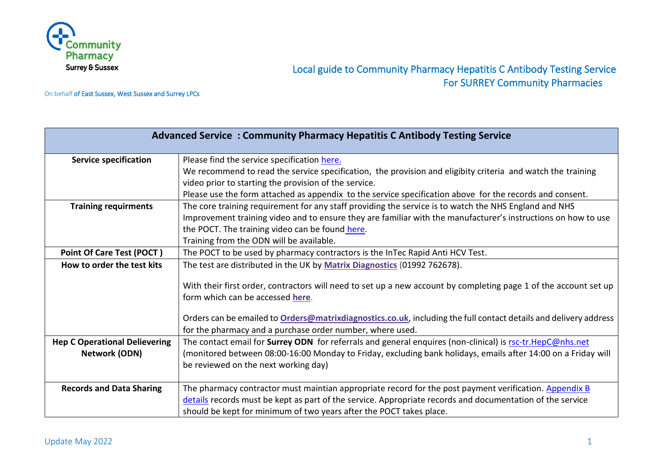

# Local guide to Community Pharmacy Hepatitis C Antibody Testing Service For SURREY Community Pharmacies

On behalf of East Sussex, West Sussex and Surrey LPCs

| <b>Advanced Service: Community Pharmacy Hepatitis C Antibody Testing Service</b> |                                                                                                                                                                      |
|----------------------------------------------------------------------------------|----------------------------------------------------------------------------------------------------------------------------------------------------------------------|
| <b>Service specification</b>                                                     | Please find the service specification here.                                                                                                                          |
|                                                                                  | We recommend to read the service specification, the provision and eligibity criteria and watch the training<br>video prior to starting the provision of the service. |
|                                                                                  | Please use the form attached as appendix to the service specification above for the records and consent.                                                             |
| <b>Training requirments</b>                                                      | The core training requirement for any staff providing the service is to watch the NHS England and NHS                                                                |
|                                                                                  | Improvement training video and to ensure they are familiar with the manufacturer's instructions on how to use                                                        |
|                                                                                  | the POCT. The training video can be found here.                                                                                                                      |
|                                                                                  | Training from the ODN will be available.                                                                                                                             |
| Point Of Care Test (POCT)                                                        | The POCT to be used by pharmacy contractors is the InTec Rapid Anti HCV Test.                                                                                        |
| How to order the test kits                                                       | The test are distributed in the UK by Matrix Diagnostics (01992 762678).                                                                                             |
|                                                                                  | With their first order, contractors will need to set up a new account by completing page 1 of the account set up<br>form which can be accessed here.                 |
|                                                                                  |                                                                                                                                                                      |
|                                                                                  | Orders can be emailed to Orders@matrixdiagnostics.co.uk, including the full contact details and delivery address                                                     |
|                                                                                  | for the pharmacy and a purchase order number, where used.                                                                                                            |
| <b>Hep C Operational Delievering</b>                                             | The contact email for Surrey ODN for referrals and general enquires (non-clinical) is rsc-tr.HepC@nhs.net                                                            |
| <b>Network (ODN)</b>                                                             | (monitored between 08:00-16:00 Monday to Friday, excluding bank holidays, emails after 14:00 on a Friday will                                                        |
|                                                                                  | be reviewed on the next working day)                                                                                                                                 |
|                                                                                  |                                                                                                                                                                      |
| <b>Records and Data Sharing</b>                                                  | The pharmacy contractor must maintian appropriate record for the post payment verification. Appendix B                                                               |
|                                                                                  | details records must be kept as part of the service. Appropriate records and documentation of the service                                                            |
|                                                                                  | should be kept for minimum of two years after the POCT takes place.                                                                                                  |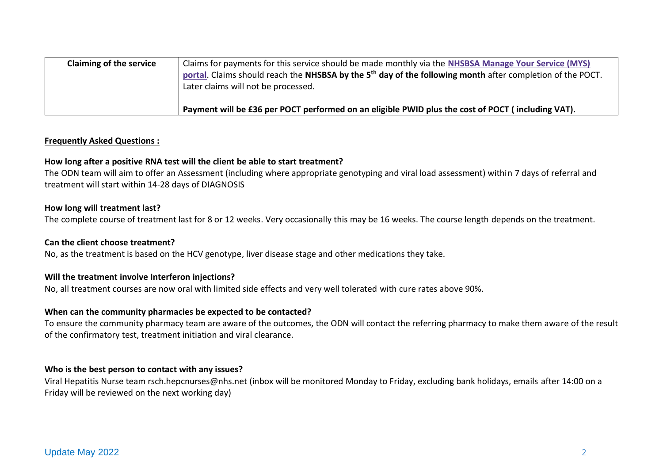| <b>Claiming of the service</b> | Claims for payments for this service should be made monthly via the NHSBSA Manage Your Service (MYS)<br>portal. Claims should reach the NHSBSA by the 5 <sup>th</sup> day of the following month after completion of the POCT.<br>Later claims will not be processed. |
|--------------------------------|-----------------------------------------------------------------------------------------------------------------------------------------------------------------------------------------------------------------------------------------------------------------------|
|                                | Payment will be £36 per POCT performed on an eligible PWID plus the cost of POCT (including VAT).                                                                                                                                                                     |

#### **Frequently Asked Questions :**

#### **How long after a positive RNA test will the client be able to start treatment?**

The ODN team will aim to offer an Assessment (including where appropriate genotyping and viral load assessment) within 7 days of referral and treatment will start within 14-28 days of DIAGNOSIS

#### **How long will treatment last?**

The complete course of treatment last for 8 or 12 weeks. Very occasionally this may be 16 weeks. The course length depends on the treatment.

#### **Can the client choose treatment?**

No, as the treatment is based on the HCV genotype, liver disease stage and other medications they take.

### **Will the treatment involve Interferon injections?**

No, all treatment courses are now oral with limited side effects and very well tolerated with cure rates above 90%.

#### **When can the community pharmacies be expected to be contacted?**

To ensure the community pharmacy team are aware of the outcomes, the ODN will contact the referring pharmacy to make them aware of the result of the confirmatory test, treatment initiation and viral clearance.

#### **Who is the best person to contact with any issues?**

Viral Hepatitis Nurse team rsch.hepcnurses@nhs.net (inbox will be monitored Monday to Friday, excluding bank holidays, emails after 14:00 on a Friday will be reviewed on the next working day)